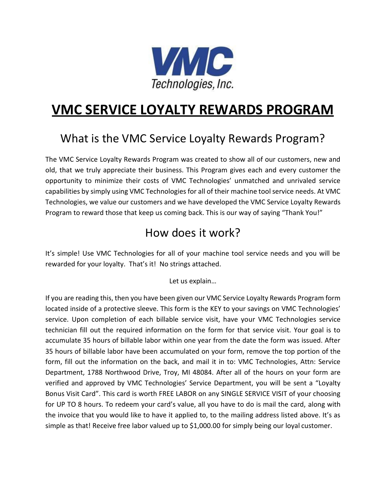

# **VMC SERVICE LOYALTY REWARDS PROGRAM**

## What is the VMC Service Loyalty Rewards Program?

The VMC Service Loyalty Rewards Program was created to show all of our customers, new and old, that we truly appreciate their business. This Program gives each and every customer the opportunity to minimize their costs of VMC Technologies' unmatched and unrivaled service capabilities by simply using VMC Technologies for all of their machine tool service needs. At VMC Technologies, we value our customers and we have developed the VMC Service Loyalty Rewards Program to reward those that keep us coming back. This is our way of saying "Thank You!"

### How does it work?

It's simple! Use VMC Technologies for all of your machine tool service needs and you will be rewarded for your loyalty. That's it! No strings attached.

Let us explain…

If you are reading this, then you have been given our VMC Service Loyalty Rewards Program form located inside of a protective sleeve. This form is the KEY to your savings on VMC Technologies' service. Upon completion of each billable service visit, have your VMC Technologies service technician fill out the required information on the form for that service visit. Your goal is to accumulate 35 hours of billable labor within one year from the date the form was issued. After 35 hours of billable labor have been accumulated on your form, remove the top portion of the form, fill out the information on the back, and mail it in to: VMC Technologies, Attn: Service Department, 1788 Northwood Drive, Troy, MI 48084. After all of the hours on your form are verified and approved by VMC Technologies' Service Department, you will be sent a "Loyalty Bonus Visit Card". This card is worth FREE LABOR on any SINGLE SERVICE VISIT of your choosing for UP TO 8 hours. To redeem your card's value, all you have to do is mail the card, along with the invoice that you would like to have it applied to, to the mailing address listed above. It's as simple as that! Receive free labor valued up to \$1,000.00 for simply being our loyal customer.